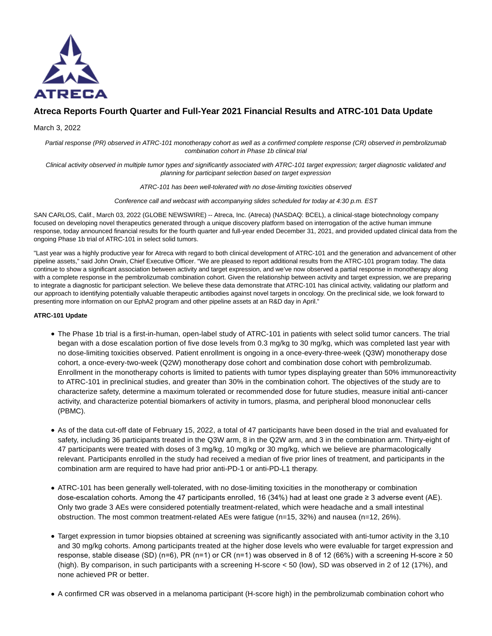

# **Atreca Reports Fourth Quarter and Full-Year 2021 Financial Results and ATRC-101 Data Update**

## March 3, 2022

Partial response (PR) observed in ATRC-101 monotherapy cohort as well as a confirmed complete response (CR) observed in pembrolizumab combination cohort in Phase 1b clinical trial

Clinical activity observed in multiple tumor types and significantly associated with ATRC-101 target expression; target diagnostic validated and planning for participant selection based on target expression

ATRC-101 has been well-tolerated with no dose-limiting toxicities observed

Conference call and webcast with accompanying slides scheduled for today at 4:30 p.m. EST

SAN CARLOS, Calif., March 03, 2022 (GLOBE NEWSWIRE) -- Atreca, Inc. (Atreca) (NASDAQ: BCEL), a clinical-stage biotechnology company focused on developing novel therapeutics generated through a unique discovery platform based on interrogation of the active human immune response, today announced financial results for the fourth quarter and full-year ended December 31, 2021, and provided updated clinical data from the ongoing Phase 1b trial of ATRC-101 in select solid tumors.

"Last year was a highly productive year for Atreca with regard to both clinical development of ATRC-101 and the generation and advancement of other pipeline assets," said John Orwin, Chief Executive Officer. "We are pleased to report additional results from the ATRC-101 program today. The data continue to show a significant association between activity and target expression, and we've now observed a partial response in monotherapy along with a complete response in the pembrolizumab combination cohort. Given the relationship between activity and target expression, we are preparing to integrate a diagnostic for participant selection. We believe these data demonstrate that ATRC-101 has clinical activity, validating our platform and our approach to identifying potentially valuable therapeutic antibodies against novel targets in oncology. On the preclinical side, we look forward to presenting more information on our EphA2 program and other pipeline assets at an R&D day in April."

### **ATRC-101 Update**

- The Phase 1b trial is a first-in-human, open-label study of ATRC-101 in patients with select solid tumor cancers. The trial began with a dose escalation portion of five dose levels from 0.3 mg/kg to 30 mg/kg, which was completed last year with no dose-limiting toxicities observed. Patient enrollment is ongoing in a once-every-three-week (Q3W) monotherapy dose cohort, a once-every-two-week (Q2W) monotherapy dose cohort and combination dose cohort with pembrolizumab. Enrollment in the monotherapy cohorts is limited to patients with tumor types displaying greater than 50% immunoreactivity to ATRC-101 in preclinical studies, and greater than 30% in the combination cohort. The objectives of the study are to characterize safety, determine a maximum tolerated or recommended dose for future studies, measure initial anti-cancer activity, and characterize potential biomarkers of activity in tumors, plasma, and peripheral blood mononuclear cells (PBMC).
- As of the data cut-off date of February 15, 2022, a total of 47 participants have been dosed in the trial and evaluated for safety, including 36 participants treated in the Q3W arm, 8 in the Q2W arm, and 3 in the combination arm. Thirty-eight of 47 participants were treated with doses of 3 mg/kg, 10 mg/kg or 30 mg/kg, which we believe are pharmacologically relevant. Participants enrolled in the study had received a median of five prior lines of treatment, and participants in the combination arm are required to have had prior anti-PD-1 or anti-PD-L1 therapy.
- ATRC-101 has been generally well-tolerated, with no dose-limiting toxicities in the monotherapy or combination dose-escalation cohorts. Among the 47 participants enrolled, 16 (34%) had at least one grade ≥ 3 adverse event (AE). Only two grade 3 AEs were considered potentially treatment-related, which were headache and a small intestinal obstruction. The most common treatment-related AEs were fatigue (n=15, 32%) and nausea (n=12, 26%).
- Target expression in tumor biopsies obtained at screening was significantly associated with anti-tumor activity in the 3,10 and 30 mg/kg cohorts. Among participants treated at the higher dose levels who were evaluable for target expression and response, stable disease (SD) (n=6), PR (n=1) or CR (n=1) was observed in 8 of 12 (66%) with a screening H-score ≥ 50 (high). By comparison, in such participants with a screening H-score < 50 (low), SD was observed in 2 of 12 (17%), and none achieved PR or better.
- A confirmed CR was observed in a melanoma participant (H-score high) in the pembrolizumab combination cohort who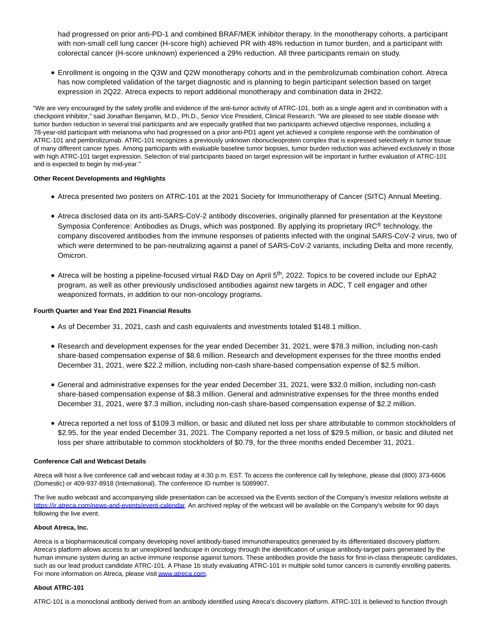had progressed on prior anti-PD-1 and combined BRAF/MEK inhibitor therapy. In the monotherapy cohorts, a participant with non-small cell lung cancer (H-score high) achieved PR with 48% reduction in tumor burden, and a participant with colorectal cancer (H-score unknown) experienced a 29% reduction. All three participants remain on study.

Enrollment is ongoing in the Q3W and Q2W monotherapy cohorts and in the pembrolizumab combination cohort. Atreca has now completed validation of the target diagnostic and is planning to begin participant selection based on target expression in 2Q22. Atreca expects to report additional monotherapy and combination data in 2H22.

"We are very encouraged by the safety profile and evidence of the anti-tumor activity of ATRC-101, both as a single agent and in combination with a checkpoint inhibitor," said Jonathan Benjamin, M.D., Ph.D., Senior Vice President, Clinical Research. "We are pleased to see stable disease with tumor burden reduction in several trial participants and are especially gratified that two participants achieved objective responses, including a 78-year-old participant with melanoma who had progressed on a prior anti-PD1 agent yet achieved a complete response with the combination of ATRC-101 and pembrolizumab. ATRC-101 recognizes a previously unknown ribonucleoprotein complex that is expressed selectively in tumor tissue of many different cancer types. Among participants with evaluable baseline tumor biopsies, tumor burden reduction was achieved exclusively in those with high ATRC-101 target expression. Selection of trial participants based on target expression will be important in further evaluation of ATRC-101 and is expected to begin by mid-year."

#### **Other Recent Developments and Highlights**

- Atreca presented two posters on ATRC-101 at the 2021 Society for Immunotherapy of Cancer (SITC) Annual Meeting.
- Atreca disclosed data on its anti-SARS-CoV-2 antibody discoveries, originally planned for presentation at the Keystone Symposia Conference: Antibodies as Drugs, which was postponed. By applying its proprietary IRC<sup>®</sup> technology, the company discovered antibodies from the immune responses of patients infected with the original SARS-CoV-2 virus, two of which were determined to be pan-neutralizing against a panel of SARS-CoV-2 variants, including Delta and more recently, Omicron.
- Atreca will be hosting a pipeline-focused virtual R&D Day on April 5<sup>th</sup>, 2022. Topics to be covered include our EphA2 program, as well as other previously undisclosed antibodies against new targets in ADC, T cell engager and other weaponized formats, in addition to our non-oncology programs.

## **Fourth Quarter and Year End 2021 Financial Results**

- As of December 31, 2021, cash and cash equivalents and investments totaled \$148.1 million.
- Research and development expenses for the year ended December 31, 2021, were \$78.3 million, including non-cash share-based compensation expense of \$8.6 million. Research and development expenses for the three months ended December 31, 2021, were \$22.2 million, including non-cash share-based compensation expense of \$2.5 million.
- General and administrative expenses for the year ended December 31, 2021, were \$32.0 million, including non-cash share-based compensation expense of \$8.3 million. General and administrative expenses for the three months ended December 31, 2021, were \$7.3 million, including non-cash share-based compensation expense of \$2.2 million.
- Atreca reported a net loss of \$109.3 million, or basic and diluted net loss per share attributable to common stockholders of \$2.95, for the year ended December 31, 2021. The Company reported a net loss of \$29.5 million, or basic and diluted net loss per share attributable to common stockholders of \$0.79, for the three months ended December 31, 2021.

#### **Conference Call and Webcast Details**

Atreca will host a live conference call and webcast today at 4:30 p.m. EST. To access the conference call by telephone, please dial (800) 373-6606 (Domestic) or 409-937-8918 (International). The conference ID number is 5089907.

The live audio webcast and accompanying slide presentation can be accessed via the Events section of the Company's investor relations website at [https://ir.atreca.com/news-and-events/event-calendar.](https://www.globenewswire.com/Tracker?data=82ScJgHhpfbP_iVsCeP4VrN1rHX-VqNQbP_HdNEjujOvcU9iJqbAbdDInhZD4jV5aIEyUtXJ8ZdDptXrG2zneBlp5CNJJYYBBAFS0_GhC0W6PwJu8I2RRsERcpUnoaqTsOhd7ziBFTE74I0k-1PAhSolXYtdGVvpJwf_mlRqyxM=) An archived replay of the webcast will be available on the Company's website for 90 days following the live event.

#### **About Atreca, Inc.**

Atreca is a biopharmaceutical company developing novel antibody-based immunotherapeutics generated by its differentiated discovery platform. Atreca's platform allows access to an unexplored landscape in oncology through the identification of unique antibody-target pairs generated by the human immune system during an active immune response against tumors. These antibodies provide the basis for first-in-class therapeutic candidates, such as our lead product candidate ATRC-101. A Phase 1b study evaluating ATRC-101 in multiple solid tumor cancers is currently enrolling patients. For more information on Atreca, please visi[t www.atreca.com.](https://www.globenewswire.com/Tracker?data=LuHkmsu-OsZjzLpNrrcWoLrQ98NjiSr5K2QoQGNFyhYW5Is3ZDi5_tUGVIx9ynJ2VgTYgNdbdaSIvAOcTT6I1A==)

# **About ATRC-101**

ATRC-101 is a monoclonal antibody derived from an antibody identified using Atreca's discovery platform. ATRC-101 is believed to function through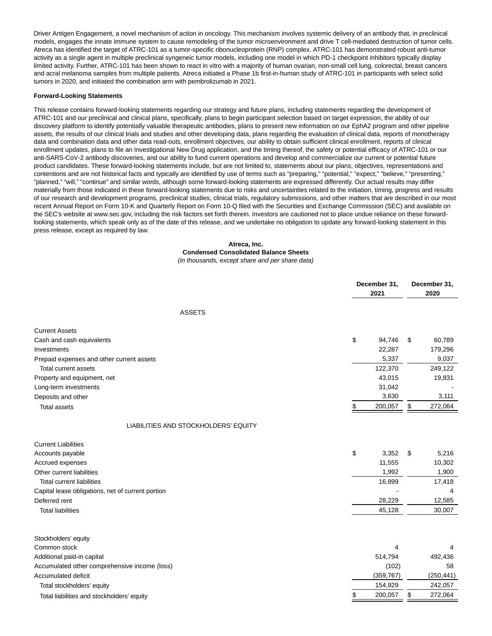Driver Antigen Engagement, a novel mechanism of action in oncology. This mechanism involves systemic delivery of an antibody that, in preclinical models, engages the innate immune system to cause remodeling of the tumor microenvironment and drive T cell-mediated destruction of tumor cells. Atreca has identified the target of ATRC-101 as a tumor-specific ribonucleoprotein (RNP) complex. ATRC-101 has demonstrated robust anti-tumor activity as a single agent in multiple preclinical syngeneic tumor models, including one model in which PD-1 checkpoint inhibitors typically display limited activity. Further, ATRC-101 has been shown to react in vitro with a majority of human ovarian, non-small cell lung, colorectal, breast cancers and acral melanoma samples from multiple patients. Atreca initiated a Phase 1b first-in-human study of ATRC-101 in participants with select solid tumors in 2020, and initiated the combination arm with pembrolizumab in 2021.

#### **Forward-Looking Statements**

This release contains forward-looking statements regarding our strategy and future plans, including statements regarding the development of ATRC-101 and our preclinical and clinical plans, specifically, plans to begin participant selection based on target expression, the ability of our discovery platform to identify potentially valuable therapeutic antibodies, plans to present new information on our EphA2 program and other pipeline assets, the results of our clinical trials and studies and other developing data, plans regarding the evaluation of clinical data, reports of monotherapy data and combination data and other data read-outs, enrollment objectives, our ability to obtain sufficient clinical enrollment, reports of clinical enrollment updates, plans to file an Investigational New Drug application, and the timing thereof, the safety or potential efficacy of ATRC-101 or our anti-SARS-CoV-2 antibody discoveries, and our ability to fund current operations and develop and commercialize our current or potential future product candidates. These forward-looking statements include, but are not limited to, statements about our plans, objectives, representations and contentions and are not historical facts and typically are identified by use of terms such as "preparing," "potential," "expect," "believe," "presenting," "planned," "will," "continue" and similar words, although some forward-looking statements are expressed differently. Our actual results may differ materially from those indicated in these forward-looking statements due to risks and uncertainties related to the initiation, timing, progress and results of our research and development programs, preclinical studies, clinical trials, regulatory submissions, and other matters that are described in our most recent Annual Report on Form 10-K and Quarterly Report on Form 10-Q filed with the Securities and Exchange Commission (SEC) and available on the SEC's website at www.sec.gov, including the risk factors set forth therein. Investors are cautioned not to place undue reliance on these forwardlooking statements, which speak only as of the date of this release, and we undertake no obligation to update any forward-looking statement in this press release, except as required by law.

#### **Atreca, Inc. Condensed Consolidated Balance Sheets** (in thousands, except share and per share data)

|                                                   | December 31,<br>2021 | December 31,<br>2020 |  |
|---------------------------------------------------|----------------------|----------------------|--|
| <b>ASSETS</b>                                     |                      |                      |  |
| <b>Current Assets</b>                             |                      |                      |  |
| Cash and cash equivalents                         | \$<br>94,746         | \$<br>60,789         |  |
| Investments                                       | 22,287               | 179,296              |  |
| Prepaid expenses and other current assets         | 5,337                | 9,037                |  |
| Total current assets                              | 122,370              | 249,122              |  |
| Property and equipment, net                       | 43,015               | 19,831               |  |
| Long-term investments                             | 31,042               |                      |  |
| Deposits and other                                | 3,630                | 3,111                |  |
| <b>Total assets</b>                               | 200,057<br>\$        | \$<br>272,064        |  |
| LIABILITIES AND STOCKHOLDERS' EQUITY              |                      |                      |  |
| <b>Current Liabilities</b>                        |                      |                      |  |
| Accounts payable                                  | \$<br>3,352          | \$<br>5,216          |  |
| <b>Accrued expenses</b>                           | 11,555               | 10,302               |  |
| Other current liabilities                         | 1,992                | 1,900                |  |
| <b>Total current liabilities</b>                  | 16,899               | 17,418               |  |
| Capital lease obligations, net of current portion |                      | 4                    |  |
| Deferred rent                                     | 28,229               | 12,585               |  |
| <b>Total liabilities</b>                          | 45,128               | 30,007               |  |
| Stockholders' equity                              |                      |                      |  |
| Common stock                                      | 4                    |                      |  |
| Additional paid-in capital                        | 514,794              | 492,436              |  |
| Accumulated other comprehensive income (loss)     | (102)                | 58                   |  |
| Accumulated deficit                               | (359, 767)           | (250, 441)           |  |
| Total stockholders' equity                        | 154,929              | 242,057              |  |
|                                                   | \$<br>200,057        | \$<br>272,064        |  |
| Total liabilities and stockholders' equity        |                      |                      |  |